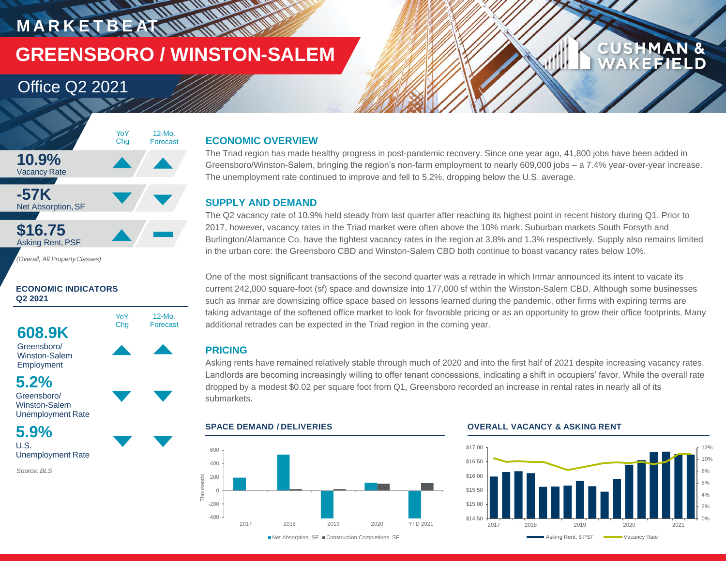## **MARKETBEAT WWW. GREENSBORO / WINSTON-SALEM**

### Office Q2 2021



*(Overall, All PropertyClasses)*

### **ECONOMIC INDICATORS Q2 2021**



Winston-Salem Employment

### **5.2%**

Greensboro/ Winston-Salem Unemployment Rate

### **5.9%**

U.S. Unemployment Rate

*Source: BLS*

### **ECONOMIC OVERVIEW**

The Triad region has made healthy progress in post-pandemic recovery. Since one year ago, 41,800 jobs have been added in Greensboro/Winston-Salem, bringing the region's non-farm employment to nearly 609,000 jobs – a 7.4% year-over-year increase. The unemployment rate continued to improve and fell to 5.2%, dropping below the U.S. average.

### **SUPPLY AND DEMAND**

The Q2 vacancy rate of 10.9% held steady from last quarter after reaching its highest point in recent history during Q1. Prior to 2017, however, vacancy rates in the Triad market were often above the 10% mark. Suburban markets South Forsyth and Burlington/Alamance Co. have the tightest vacancy rates in the region at 3.8% and 1.3% respectively. Supply also remains limited in the urban core: the Greensboro CBD and Winston-Salem CBD both continue to boast vacancy rates below 10%.

One of the most significant transactions of the second quarter was a retrade in which Inmar announced its intent to vacate its current 242,000 square-foot (sf) space and downsize into 177,000 sf within the Winston-Salem CBD. Although some businesses such as Inmar are downsizing office space based on lessons learned during the pandemic, other firms with expiring terms are taking advantage of the softened office market to look for favorable pricing or as an opportunity to grow their office footprints. Many additional retrades can be expected in the Triad region in the coming year.

### **PRICING**

Asking rents have remained relatively stable through much of 2020 and into the first half of 2021 despite increasing vacancy rates. Landlords are becoming increasingly willing to offer tenant concessions, indicating a shift in occupiers' favor. While the overall rate dropped by a modest \$0.02 per square foot from Q1, Greensboro recorded an increase in rental rates in nearly all of its submarkets.



### **SPACE DEMAND / DELIVERIES OVERALL VACANCY & ASKING RENT**



**CUSHMAN &** 

**CEPIELD** 

■Net Absorption, SF ■ Construction Completions, SF